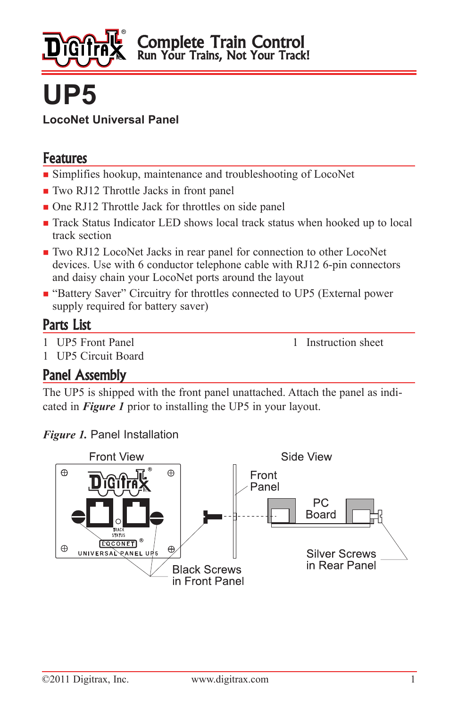

# **UP5**

#### **LocoNet Universal Panel**

### **Features**

- **n** Simplifies hookup, maintenance and troubleshooting of LocoNet
- Two RJ12 Throttle Jacks in front panel
- One RJ12 Throttle Jack for throttles on side panel
- <sup>n</sup> Track Status Indicator LED shows local track status when hooked up to local track section
- Two RJ12 LocoNet Jacks in rear panel for connection to other LocoNet devices. Use with 6 conductor telephone cable with RJ12 6-pin connectors and daisy chain your LocoNet ports around the layout
- "Battery Saver" Circuitry for throttles connected to UP5 (External power supply required for battery saver)

## Parts List

1 UP5 Front Panel 1 Instruction sheet

1 UP5 Circuit Board

## Panel Assembly

The UP5 is shipped with the front panel unattached. Attach the panel as indicated in *Figure 1* prior to installing the UP5 in your layout.

*Figure 1.* Panel Installation

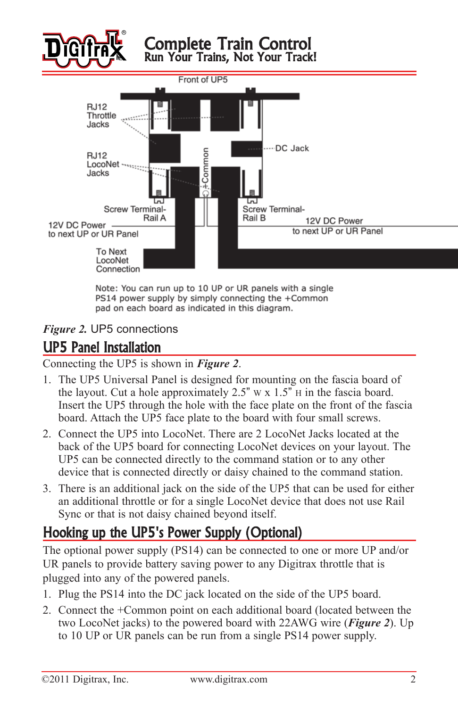

#### Complete Train Control Run Your Trains, Not Your Track!



Note: You can run up to 10 UP or UR panels with a single PS14 power supply by simply connecting the +Common pad on each board as indicated in this diagram.

#### *Figure 2.* UP5 connections

# UP5 Panel Installation

Connecting the UP5 is shown in *Figure 2*.

- 1. The UP5 Universal Panel is designed for mounting on the fascia board of the layout. Cut a hole approximately  $2.5$ " w x  $1.5$ " H in the fascia board. Insert the UP5 through the hole with the face plate on the front of the fascia board. Attach the UP5 face plate to the board with four small screws.
- 2. Connect the UP5 into LocoNet. There are 2 LocoNet Jacks located at the back of the UP5 board for connecting LocoNet devices on your layout. The UP5 can be connected directly to the command station or to any other device that is connected directly or daisy chained to the command station.
- 3. There is an additional jack on the side of the UP5 that can be used for either an additional throttle or for a single LocoNet device that does not use Rail Sync or that is not daisy chained beyond itself.

# Hooking up the UP5's Power Supply (Optional)

The optional power supply (PS14) can be connected to one or more UP and/or UR panels to provide battery saving power to any Digitrax throttle that is plugged into any of the powered panels.

- 1. Plug the PS14 into the DC jack located on the side of the UP5 board.
- 2. Connect the +Common point on each additional board (located between the two LocoNet jacks) to the powered board with 22AwG wire (*Figure 2*). Up to 10 UP or UR panels can be run from a single PS14 power supply.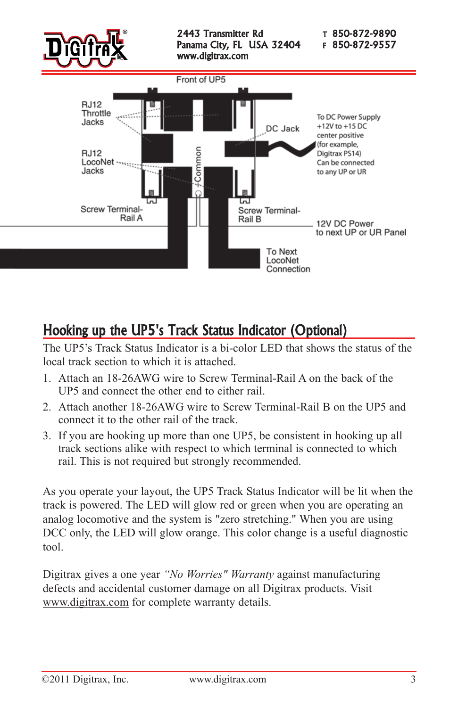

# Hooking up the UP5's Track Status Indicator (Optional)

The UP5's Track Status Indicator is a bi-color LED that shows the status of the local track section to which it is attached.

- 1. Attach an 18-26AwG wire to Screw Terminal-Rail A on the back of the UP5 and connect the other end to either rail.
- 2. Attach another 18-26AwG wire to Screw Terminal-Rail B on the UP5 and connect it to the other rail of the track.
- 3. If you are hooking up more than one UP5, be consistent in hooking up all track sections alike with respect to which terminal is connected to which rail. This is not required but strongly recommended.

As you operate your layout, the UP5 Track Status Indicator will be lit when the track is powered. The LED will glow red or green when you are operating an analog locomotive and the system is "zero stretching." when you are using DCC only, the LED will glow orange. This color change is a useful diagnostic tool.

Digitrax gives a one year *"No Worries" Warranty* against manufacturing defects and accidental customer damage on all Digitrax products. Visit www.digitrax.com for complete warranty details.